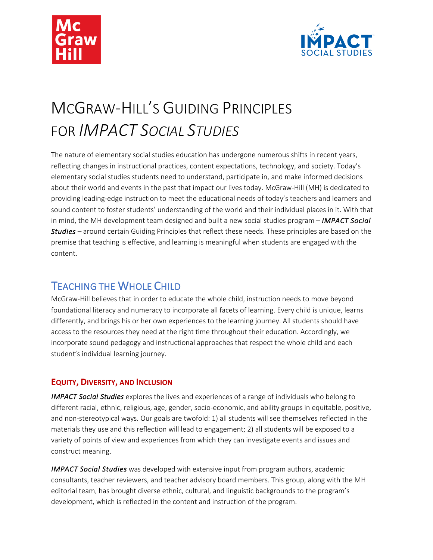



# MCGRAW-HILL'S GUIDING PRINCIPLES FOR *IMPACT SOCIAL STUDIES*

The nature of elementary social studies education has undergone numerous shifts in recent years, reflecting changes in instructional practices, content expectations, technology, and society. Today's elementary social studies students need to understand, participate in, and make informed decisions about their world and events in the past that impact our lives today. McGraw-Hill (MH) is dedicated to providing leading-edge instruction to meet the educational needs of today's teachers and learners and sound content to foster students' understanding of the world and their individual places in it. With that in mind, the MH development team designed and built a new social studies program – *IMPACT Social Studies –* around certain Guiding Principles that reflect these needs. These principles are based on the premise that teaching is effective, and learning is meaningful when students are engaged with the content.

## TEACHING THE WHOLE CHILD

McGraw-Hill believes that in order to educate the whole child, instruction needs to move beyond foundational literacy and numeracy to incorporate all facets of learning. Every child is unique, learns differently, and brings his or her own experiences to the learning journey. All students should have access to the resources they need at the right time throughout their education. Accordingly, we incorporate sound pedagogy and instructional approaches that respect the whole child and each student's individual learning journey.

### **EQUITY, DIVERSITY, AND INCLUSION**

*IMPACT Social Studies* explores the lives and experiences of a range of individuals who belong to different racial, ethnic, religious, age, gender, socio-economic, and ability groups in equitable, positive, and non-stereotypical ways. Our goals are twofold: 1) all students will see themselves reflected in the materials they use and this reflection will lead to engagement; 2) all students will be exposed to a variety of points of view and experiences from which they can investigate events and issues and construct meaning.

*IMPACT Social Studies* was developed with extensive input from program authors, academic consultants, teacher reviewers, and teacher advisory board members. This group, along with the MH editorial team, has brought diverse ethnic, cultural, and linguistic backgrounds to the program's development, which is reflected in the content and instruction of the program.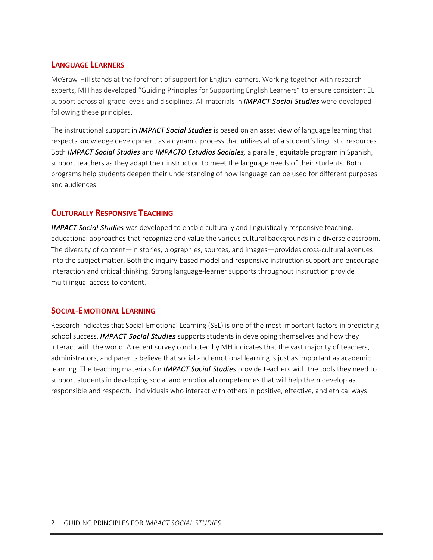#### **LANGUAGE LEARNERS**

McGraw-Hill stands at the forefront of support for English learners. Working together with research experts, MH has developed "Guiding Principles for Supporting English Learners" to ensure consistent EL support across all grade levels and disciplines. All materials in *IMPACT Social Studies* were developed following these principles.

The instructional support in *IMPACT Social Studies* is based on an asset view of language learning that respects knowledge development as a dynamic process that utilizes all of a student's linguistic resources. Both *IMPACT Social Studies* and *IMPACTO Estudios Sociales,* a parallel, equitable program in Spanish, support teachers as they adapt their instruction to meet the language needs of their students. Both programs help students deepen their understanding of how language can be used for different purposes and audiences.

#### **CULTURALLY RESPONSIVE TEACHING**

*IMPACT Social Studies* was developed to enable culturally and linguistically responsive teaching, educational approaches that recognize and value the various cultural backgrounds in a diverse classroom. The diversity of content—in stories, biographies, sources, and images—provides cross-cultural avenues into the subject matter. Both the inquiry-based model and responsive instruction support and encourage interaction and critical thinking. Strong language-learner supports throughout instruction provide multilingual access to content.

#### **SOCIAL**-**EMOTIONAL LEARNING**

Research indicates that Social-Emotional Learning (SEL) is one of the most important factors in predicting school success. *IMPACT Social Studies* supports students in developing themselves and how they interact with the world. A recent survey conducted by MH indicates that the vast majority of teachers, administrators, and parents believe that social and emotional learning is just as important as academic learning. The teaching materials for *IMPACT Social Studies* provide teachers with the tools they need to support students in developing social and emotional competencies that will help them develop as responsible and respectful individuals who interact with others in positive, effective, and ethical ways.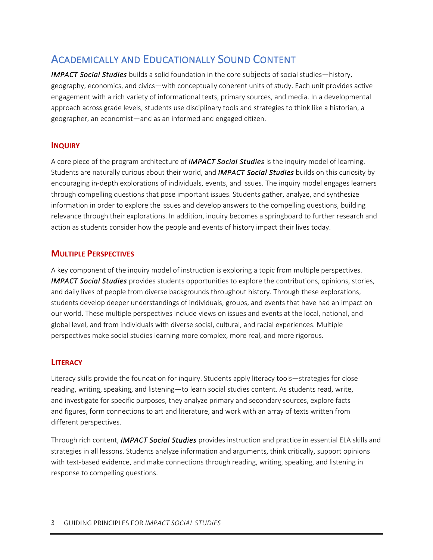## ACADEMICALLY AND EDUCATIONALLY SOUND CONTENT

*IMPACT Social Studies* builds a solid foundation in the core subjects of social studies—history, geography, economics, and civics—with conceptually coherent units of study. Each unit provides active engagement with a rich variety of informational texts, primary sources, and media. In a developmental approach across grade levels, students use disciplinary tools and strategies to think like a historian, a geographer, an economist—and as an informed and engaged citizen.

#### **INQUIRY**

A core piece of the program architecture of *IMPACT Social Studies* is the inquiry model of learning. Students are naturally curious about their world, and *IMPACT Social Studies* builds on this curiosity by encouraging in-depth explorations of individuals, events, and issues. The inquiry model engages learners through compelling questions that pose important issues. Students gather, analyze, and synthesize information in order to explore the issues and develop answers to the compelling questions, building relevance through their explorations. In addition, inquiry becomes a springboard to further research and action as students consider how the people and events of history impact their lives today.

#### **MULTIPLE PERSPECTIVES**

A key component of the inquiry model of instruction is exploring a topic from multiple perspectives. *IMPACT Social Studies* provides students opportunities to explore the contributions, opinions, stories, and daily lives of people from diverse backgrounds throughout history. Through these explorations, students develop deeper understandings of individuals, groups, and events that have had an impact on our world. These multiple perspectives include views on issues and events at the local, national, and global level, and from individuals with diverse social, cultural, and racial experiences. Multiple perspectives make social studies learning more complex, more real, and more rigorous.

#### **LITERACY**

Literacy skills provide the foundation for inquiry. Students apply literacy tools—strategies for close reading, writing, speaking, and listening—to learn social studies content. As students read, write, and investigate for specific purposes, they analyze primary and secondary sources, explore facts and figures, form connections to art and literature, and work with an array of texts written from different perspectives.

Through rich content, *IMPACT Social Studies* provides instruction and practice in essential ELA skills and strategies in all lessons. Students analyze information and arguments, think critically, support opinions with text-based evidence, and make connections through reading, writing, speaking, and listening in response to compelling questions.